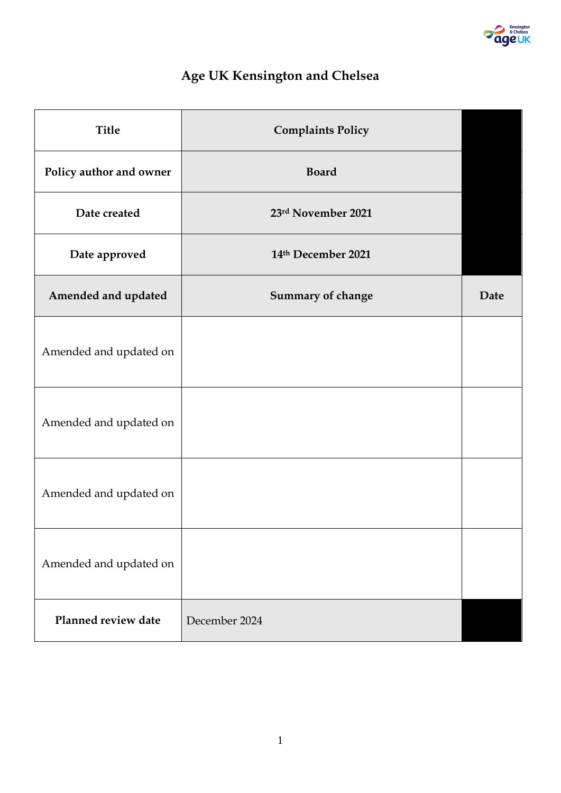

# **Age UK Kensington and Chelsea**

| <b>Title</b>            | <b>Complaints Policy</b> |      |
|-------------------------|--------------------------|------|
| Policy author and owner | <b>Board</b>             |      |
| Date created            | 23rd November 2021       |      |
| Date approved           | 14th December 2021       |      |
| Amended and updated     | Summary of change        | Date |
| Amended and updated on  |                          |      |
| Amended and updated on  |                          |      |
| Amended and updated on  |                          |      |
| Amended and updated on  |                          |      |
| Planned review date     | December 2024            |      |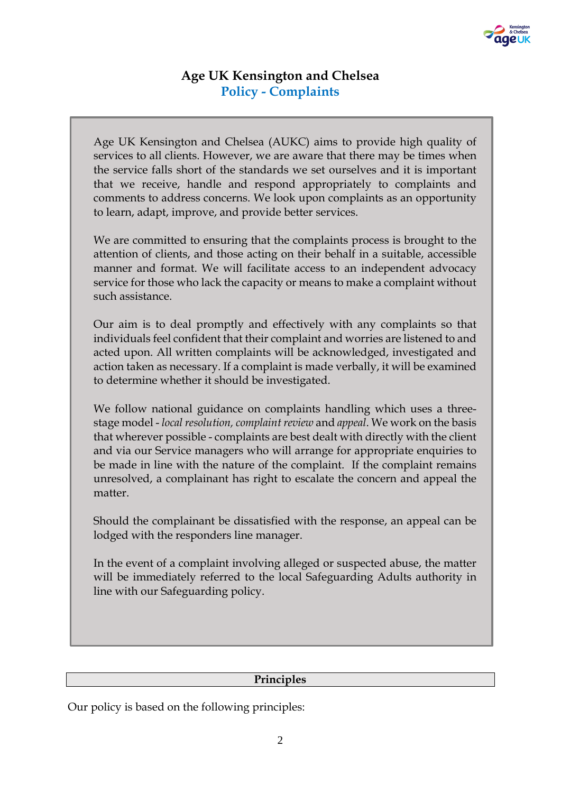

## **Age UK Kensington and Chelsea Policy - Complaints**

Age UK Kensington and Chelsea (AUKC) aims to provide high quality of services to all clients. However, we are aware that there may be times when the service falls short of the standards we set ourselves and it is important that we receive, handle and respond appropriately to complaints and comments to address concerns. We look upon complaints as an opportunity to learn, adapt, improve, and provide better services.

We are committed to ensuring that the complaints process is brought to the attention of clients, and those acting on their behalf in a suitable, accessible manner and format. We will facilitate access to an independent advocacy service for those who lack the capacity or means to make a complaint without such assistance.

Our aim is to deal promptly and effectively with any complaints so that individuals feel confident that their complaint and worries are listened to and acted upon. All written complaints will be acknowledged, investigated and action taken as necessary. If a complaint is made verbally, it will be examined to determine whether it should be investigated.

We follow national guidance on complaints handling which uses a threestage model - *local resolution, complaint review* and *appeal*. We work on the basis that wherever possible - complaints are best dealt with directly with the client and via our Service managers who will arrange for appropriate enquiries to be made in line with the nature of the complaint. If the complaint remains unresolved, a complainant has right to escalate the concern and appeal the matter.

Should the complainant be dissatisfied with the response, an appeal can be lodged with the responders line manager.

In the event of a complaint involving alleged or suspected abuse, the matter will be immediately referred to the local Safeguarding Adults authority in line with our Safeguarding policy.

#### **Principles**

Our policy is based on the following principles: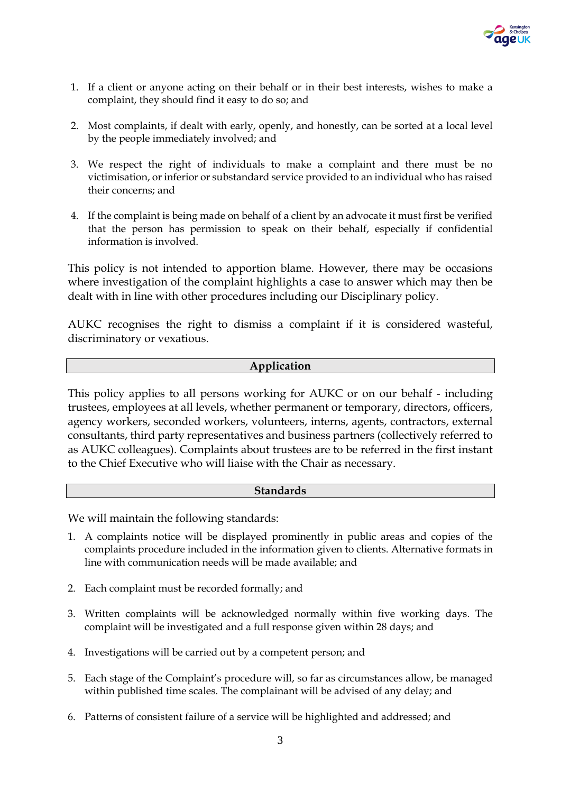

- 1. If a client or anyone acting on their behalf or in their best interests, wishes to make a complaint, they should find it easy to do so; and
- 2. Most complaints, if dealt with early, openly, and honestly, can be sorted at a local level by the people immediately involved; and
- 3. We respect the right of individuals to make a complaint and there must be no victimisation, or inferior or substandard service provided to an individual who has raised their concerns; and
- 4. If the complaint is being made on behalf of a client by an advocate it must first be verified that the person has permission to speak on their behalf, especially if confidential information is involved.

This policy is not intended to apportion blame. However, there may be occasions where investigation of the complaint highlights a case to answer which may then be dealt with in line with other procedures including our Disciplinary policy.

AUKC recognises the right to dismiss a complaint if it is considered wasteful, discriminatory or vexatious.

#### **Application**

This policy applies to all persons working for AUKC or on our behalf - including trustees, employees at all levels, whether permanent or temporary, directors, officers, agency workers, seconded workers, volunteers, interns, agents, contractors, external consultants, third party representatives and business partners (collectively referred to as AUKC colleagues). Complaints about trustees are to be referred in the first instant to the Chief Executive who will liaise with the Chair as necessary.

#### **Standards**

We will maintain the following standards:

- 1. A complaints notice will be displayed prominently in public areas and copies of the complaints procedure included in the information given to clients. Alternative formats in line with communication needs will be made available; and
- 2. Each complaint must be recorded formally; and
- 3. Written complaints will be acknowledged normally within five working days. The complaint will be investigated and a full response given within 28 days; and
- 4. Investigations will be carried out by a competent person; and
- 5. Each stage of the Complaint's procedure will, so far as circumstances allow, be managed within published time scales. The complainant will be advised of any delay; and
- 6. Patterns of consistent failure of a service will be highlighted and addressed; and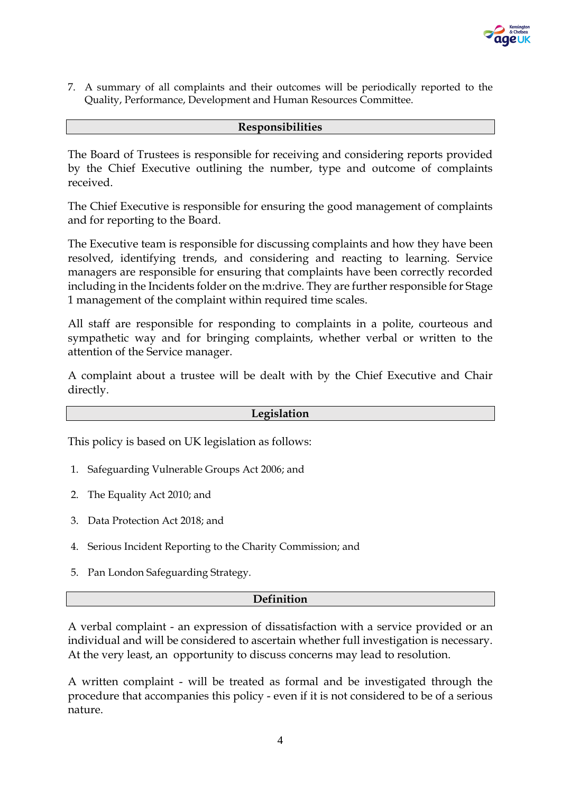

7. A summary of all complaints and their outcomes will be periodically reported to the Quality, Performance, Development and Human Resources Committee.

#### **Responsibilities**

The Board of Trustees is responsible for receiving and considering reports provided by the Chief Executive outlining the number, type and outcome of complaints received.

The Chief Executive is responsible for ensuring the good management of complaints and for reporting to the Board.

The Executive team is responsible for discussing complaints and how they have been resolved, identifying trends, and considering and reacting to learning. Service managers are responsible for ensuring that complaints have been correctly recorded including in the Incidents folder on the m:drive. They are further responsible for Stage 1 management of the complaint within required time scales.

All staff are responsible for responding to complaints in a polite, courteous and sympathetic way and for bringing complaints, whether verbal or written to the attention of the Service manager.

A complaint about a trustee will be dealt with by the Chief Executive and Chair directly.

#### **Legislation**

This policy is based on UK legislation as follows:

- 1. Safeguarding Vulnerable Groups Act 2006; and
- 2. The Equality Act 2010; and
- 3. Data Protection Act 2018; and
- 4. Serious Incident Reporting to the Charity Commission; and
- 5. Pan London Safeguarding Strategy.

#### **Definition**

A verbal complaint - an expression of dissatisfaction with a service provided or an individual and will be considered to ascertain whether full investigation is necessary. At the very least, an opportunity to discuss concerns may lead to resolution.

A written complaint - will be treated as formal and be investigated through the procedure that accompanies this policy - even if it is not considered to be of a serious nature.